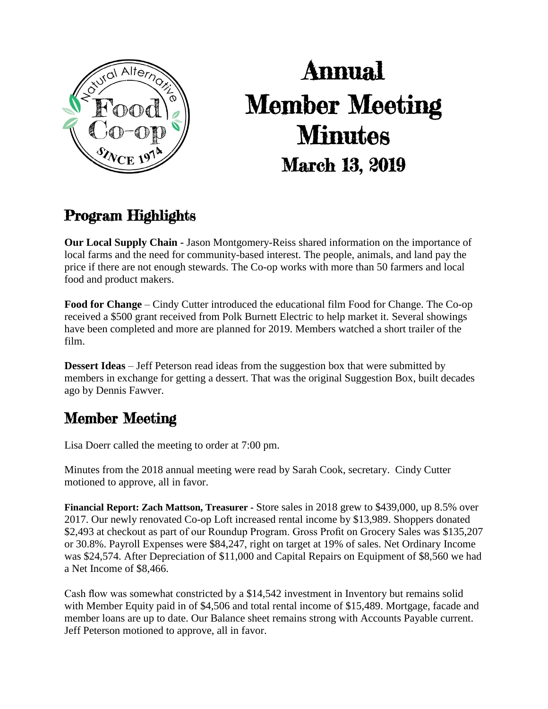

# Annual Member Meeting Minutes March 13, 2019

# Program Highlights

**Our Local Supply Chain -** Jason Montgomery-Reiss shared information on the importance of local farms and the need for community-based interest. The people, animals, and land pay the price if there are not enough stewards. The Co-op works with more than 50 farmers and local food and product makers.

**Food for Change** – Cindy Cutter introduced the educational film Food for Change. The Co-op received a \$500 grant received from Polk Burnett Electric to help market it. Several showings have been completed and more are planned for 2019. Members watched a short trailer of the film.

**Dessert Ideas** – Jeff Peterson read ideas from the suggestion box that were submitted by members in exchange for getting a dessert. That was the original Suggestion Box, built decades ago by Dennis Fawver.

# Member Meeting

Lisa Doerr called the meeting to order at 7:00 pm.

Minutes from the 2018 annual meeting were read by Sarah Cook, secretary. Cindy Cutter motioned to approve, all in favor.

**Financial Report: Zach Mattson, Treasurer -** Store sales in 2018 grew to \$439,000, up 8.5% over 2017. Our newly renovated Co-op Loft increased rental income by \$13,989. Shoppers donated \$2,493 at checkout as part of our Roundup Program. Gross Profit on Grocery Sales was \$135,207 or 30.8%. Payroll Expenses were \$84,247, right on target at 19% of sales. Net Ordinary Income was \$24,574. After Depreciation of \$11,000 and Capital Repairs on Equipment of \$8,560 we had a Net Income of \$8,466.

Cash flow was somewhat constricted by a \$14,542 investment in Inventory but remains solid with Member Equity paid in of \$4,506 and total rental income of \$15,489. Mortgage, facade and member loans are up to date. Our Balance sheet remains strong with Accounts Payable current. Jeff Peterson motioned to approve, all in favor.